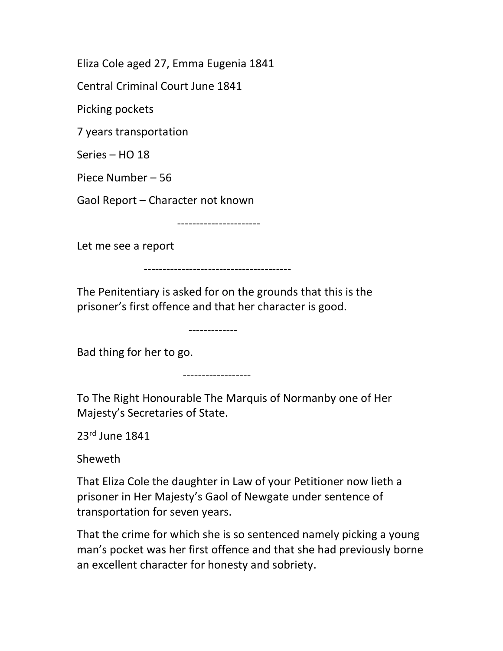Eliza Cole aged 27, Emma Eugenia 1841

Central Criminal Court June 1841

Picking pockets

7 years transportation

Series – HO 18

Piece Number – 56

Gaol Report – Character not known

----------------------

Let me see a report

---------------------------------------

The Penitentiary is asked for on the grounds that this is the prisoner's first offence and that her character is good.

-------------

Bad thing for her to go.

------------------

To The Right Honourable The Marquis of Normanby one of Her Majesty's Secretaries of State.

23rd June 1841

Sheweth

That Eliza Cole the daughter in Law of your Petitioner now lieth a prisoner in Her Majesty's Gaol of Newgate under sentence of transportation for seven years.

That the crime for which she is so sentenced namely picking a young man's pocket was her first offence and that she had previously borne an excellent character for honesty and sobriety.